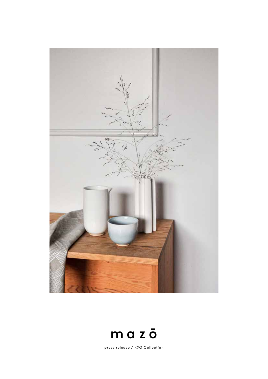



press release / KYO Collection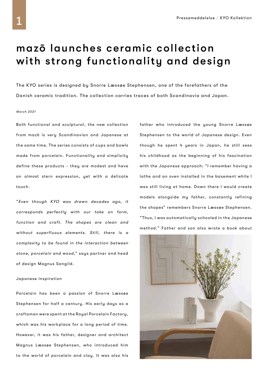# mazō launches ceramic collection with strong functionality and design

The KYO series is designed by Snorre Læssøe Stephensen, one of the forefathers of the Danish ceramic tradition. The collection carries traces of both Scandinavia and Japan.

#### March 2021

Both functional and sculptural, the new collection from mazō is very Scandinavian and Japanese at the same time. The series consists of cups and bowls made from porcelain. Functionality and simplicity define these products - they are modest and have an almost stern expression, yet with a delicate touch.

"Even though KYO was drawn decades ago, it corresponds perfectly with our take on form, function and craft. The shapes are clean and without superfluous elements. Still, there is a complexity to be found in the interaction between stone, porcelain and wood," says partner and head of design Magnus Sangild.

#### Japanese inspiration

Porcelain has been a passion of Snorre Læssøe Stephensen for half a century. His early days as a craftsman were spent at the Royal Porcelain Factory, which was his workplace for a long period of time. However, it was his father, designer and architect Magnus Læssøe Stephensen, who introduced him to the world of porcelain and clay. It was also his father who introduced the young Snorre Læssøe Stephensen to the world of Japanese design. Even though he spent 4 years in Japan, he still sees his childhood as the beginning of his fascination with the Japanese approach: "I remember having a lathe and an oven installed in the basement while I was still living at home. Down there I would create models alongside my father, constantly refining the shapes" remembers Snorre Læssøe Stephensen. "Thus, I was automatically schooled in the Japanese method." Father and son also wrote a book about

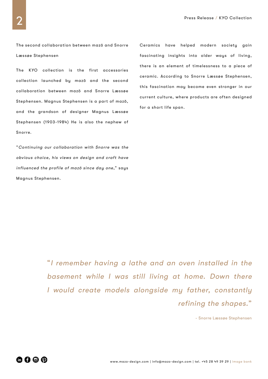The second collaboration between mazō and Snorre Læssøe Stephensen

The KYO collection is the first accessories collection launched by mazō and the second collaboration between mazō and Snorre Læssøe Stephensen. Magnus Stephensen is a part of mazō, and the grandson of designer Magnus Læssøe Stephensen (1903-1984) He is also the nephew of Snorre.

"Continuing our collaboration with Snorre was the obvious choice, his views on design and craft have influenced the profile of mazō since day one," says Magnus Stephensen.

Ceramics have helped modern society gain fascinating insights into older ways of living, there is an element of timelessness to a piece of ceramic. According to Snorre Læssøe Stephensen, this fascination may become even stronger in our current culture, where products are often designed for a short life span.

"I remember having a lathe and an oven installed in the basement while I was still living at home. Down there I would create models alongside my father, constantly refining the shapes."

- Snorre Læssøe Stephensen